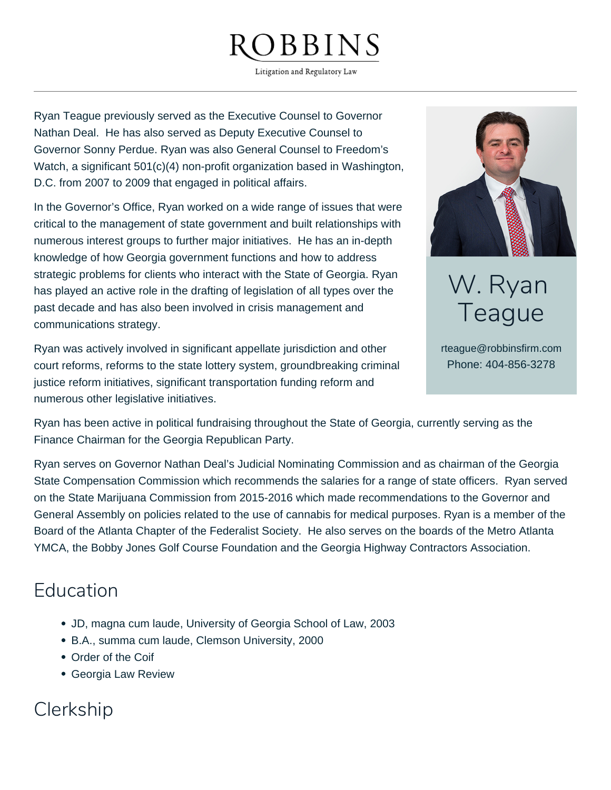## **BBINS**

Litigation and Regulatory Law

Ryan Teague previously served as the Executive Counsel to Governor Nathan Deal. He has also served as Deputy Executive Counsel to Governor Sonny Perdue. Ryan was also General Counsel to Freedom's Watch, a significant 501(c)(4) non-profit organization based in Washington, D.C. from 2007 to 2009 that engaged in political affairs.

In the Governor's Office, Ryan worked on a wide range of issues that were critical to the management of state government and built relationships with numerous interest groups to further major initiatives. He has an in-depth knowledge of how Georgia government functions and how to address strategic problems for clients who interact with the State of Georgia. Ryan has played an active role in the drafting of legislation of all types over the past decade and has also been involved in crisis management and communications strategy.

Ryan was actively involved in significant appellate jurisdiction and other court reforms, reforms to the state lottery system, groundbreaking criminal justice reform initiatives, significant transportation funding reform and numerous other legislative initiatives.



W. Ryan Teague

rteague@robbinsfirm.com Phone: 404-856-3278

Ryan has been active in political fundraising throughout the State of Georgia, currently serving as the Finance Chairman for the Georgia Republican Party.

Ryan serves on Governor Nathan Deal's Judicial Nominating Commission and as chairman of the Georgia State Compensation Commission which recommends the salaries for a range of state officers. Ryan served on the State Marijuana Commission from 2015-2016 which made recommendations to the Governor and General Assembly on policies related to the use of cannabis for medical purposes. Ryan is a member of the Board of the Atlanta Chapter of the Federalist Society. He also serves on the boards of the Metro Atlanta YMCA, the Bobby Jones Golf Course Foundation and the Georgia Highway Contractors Association.

## Education

- JD, magna cum laude, University of Georgia School of Law, 2003
- B.A., summa cum laude, Clemson University, 2000
- Order of the Coif
- Georgia Law Review

## Clerkship